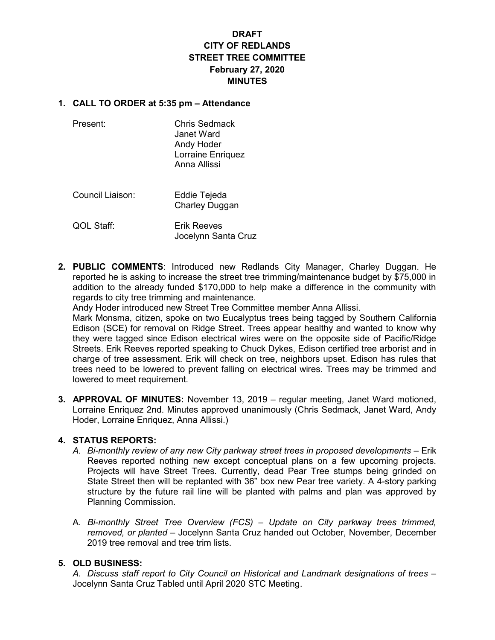# DRAFT CITY OF REDLANDS STREET TREE COMMITTEE February 27, 2020 **MINUTES**

#### 1. CALL TO ORDER at 5:35 pm – Attendance

| Present: | Chris Sedmack<br>Janet Ward<br>Andy Hoder<br>Lorraine Enriquez<br>Anna Allissi |
|----------|--------------------------------------------------------------------------------|
|          |                                                                                |

 Council Liaison: Eddie Tejeda Charley Duggan

QOL Staff: Erik Reeves Jocelynn Santa Cruz

2. PUBLIC COMMENTS: Introduced new Redlands City Manager, Charley Duggan. He reported he is asking to increase the street tree trimming/maintenance budget by \$75,000 in addition to the already funded \$170,000 to help make a difference in the community with regards to city tree trimming and maintenance.

Andy Hoder introduced new Street Tree Committee member Anna Allissi.

Mark Monsma, citizen, spoke on two Eucalyptus trees being tagged by Southern California Edison (SCE) for removal on Ridge Street. Trees appear healthy and wanted to know why they were tagged since Edison electrical wires were on the opposite side of Pacific/Ridge Streets. Erik Reeves reported speaking to Chuck Dykes, Edison certified tree arborist and in charge of tree assessment. Erik will check on tree, neighbors upset. Edison has rules that trees need to be lowered to prevent falling on electrical wires. Trees may be trimmed and lowered to meet requirement.

3. APPROVAL OF MINUTES: November 13, 2019 – regular meeting, Janet Ward motioned, Lorraine Enriquez 2nd. Minutes approved unanimously (Chris Sedmack, Janet Ward, Andy Hoder, Lorraine Enriquez, Anna Allissi.)

## 4. STATUS REPORTS:

- A. Bi-monthly review of any new City parkway street trees in proposed developments Erik Reeves reported nothing new except conceptual plans on a few upcoming projects. Projects will have Street Trees. Currently, dead Pear Tree stumps being grinded on State Street then will be replanted with 36" box new Pear tree variety. A 4-story parking structure by the future rail line will be planted with palms and plan was approved by Planning Commission.
- A. Bi-monthly Street Tree Overview (FCS) Update on City parkway trees trimmed, removed, or planted – Jocelynn Santa Cruz handed out October, November, December 2019 tree removal and tree trim lists.

# 5. OLD BUSINESS:

A. Discuss staff report to City Council on Historical and Landmark designations of trees – Jocelynn Santa Cruz Tabled until April 2020 STC Meeting.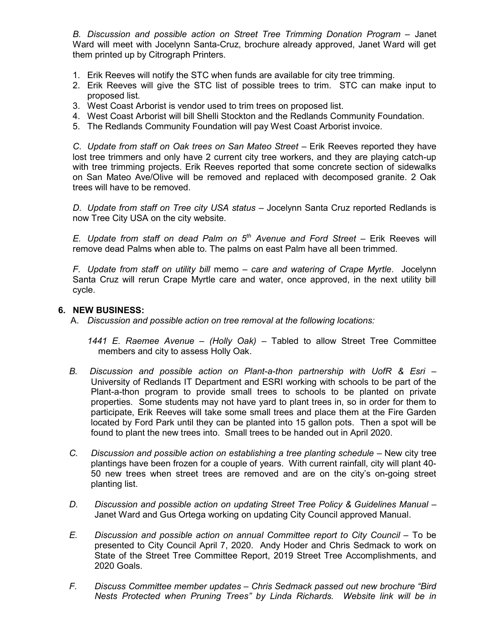B. Discussion and possible action on Street Tree Trimming Donation Program – Janet Ward will meet with Jocelynn Santa-Cruz, brochure already approved, Janet Ward will get them printed up by Citrograph Printers.

- 1. Erik Reeves will notify the STC when funds are available for city tree trimming.
- 2. Erik Reeves will give the STC list of possible trees to trim. STC can make input to proposed list.
- 3. West Coast Arborist is vendor used to trim trees on proposed list.
- 4. West Coast Arborist will bill Shelli Stockton and the Redlands Community Foundation.
- 5. The Redlands Community Foundation will pay West Coast Arborist invoice.

C. Update from staff on Oak trees on San Mateo Street – Erik Reeves reported they have lost tree trimmers and only have 2 current city tree workers, and they are playing catch-up with tree trimming projects. Erik Reeves reported that some concrete section of sidewalks on San Mateo Ave/Olive will be removed and replaced with decomposed granite. 2 Oak trees will have to be removed.

D. Update from staff on Tree city USA status - Jocelynn Santa Cruz reported Redlands is now Tree City USA on the city website.

E. Update from staff on dead Palm on  $5<sup>th</sup>$  Avenue and Ford Street – Erik Reeves will remove dead Palms when able to. The palms on east Palm have all been trimmed.

F. Update from staff on utility bill memo – care and watering of Crape Myrtle. Jocelynn Santa Cruz will rerun Crape Myrtle care and water, once approved, in the next utility bill cycle.

### 6. NEW BUSINESS:

A. Discussion and possible action on tree removal at the following locations:

1441 E. Raemee Avenue – (Holly Oak) – Tabled to allow Street Tree Committee members and city to assess Holly Oak.

- B. Discussion and possible action on Plant-a-thon partnership with UofR & Esri University of Redlands IT Department and ESRI working with schools to be part of the Plant-a-thon program to provide small trees to schools to be planted on private properties. Some students may not have yard to plant trees in, so in order for them to participate, Erik Reeves will take some small trees and place them at the Fire Garden located by Ford Park until they can be planted into 15 gallon pots. Then a spot will be found to plant the new trees into. Small trees to be handed out in April 2020.
- C. Discussion and possible action on establishing a tree planting schedule New city tree plantings have been frozen for a couple of years. With current rainfall, city will plant 40- 50 new trees when street trees are removed and are on the city's on-going street planting list.
- D. Discussion and possible action on updating Street Tree Policy & Guidelines Manual Janet Ward and Gus Ortega working on updating City Council approved Manual.
- E. Discussion and possible action on annual Committee report to City Council To be presented to City Council April 7, 2020. Andy Hoder and Chris Sedmack to work on State of the Street Tree Committee Report, 2019 Street Tree Accomplishments, and 2020 Goals.
- F. Discuss Committee member updates Chris Sedmack passed out new brochure "Bird Nests Protected when Pruning Trees" by Linda Richards. Website link will be in